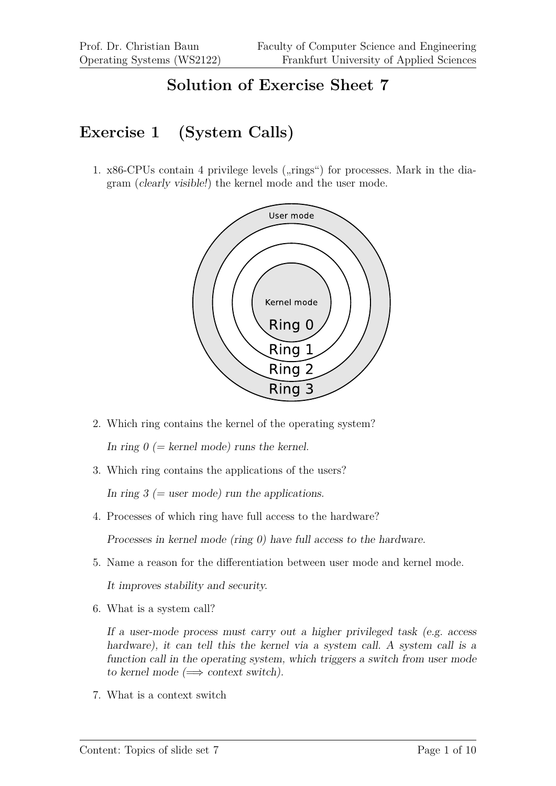### **Solution of Exercise Sheet 7**

## **Exercise 1 (System Calls)**

1.  $x86$ -CPUs contain 4 privilege levels ( $\pi$ ings") for processes. Mark in the diagram (clearly visible!) the kernel mode and the user mode.



- 2. Which ring contains the kernel of the operating system? In ring  $0 (= k$ ernel mode) runs the kernel.
- 3. Which ring contains the applications of the users?

In ring  $3$  (= user mode) run the applications.

4. Processes of which ring have full access to the hardware?

Processes in kernel mode (ring 0) have full access to the hardware.

5. Name a reason for the differentiation between user mode and kernel mode.

It improves stability and security.

6. What is a system call?

If a user-mode process must carry out a higher privileged task (e.g. access hardware), it can tell this the kernel via a system call. A system call is a function call in the operating system, which triggers a switch from user mode to kernel mode  $(\implies$  context switch).

7. What is a context switch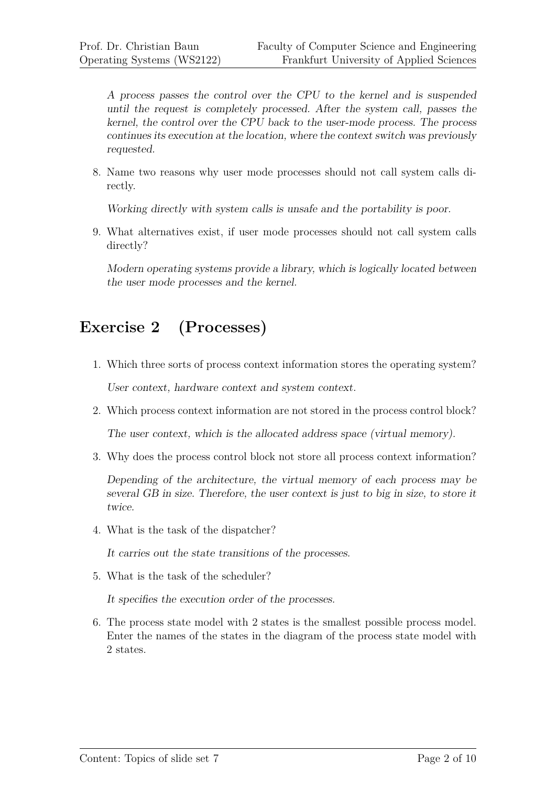A process passes the control over the CPU to the kernel and is suspended until the request is completely processed. After the system call, passes the kernel, the control over the CPU back to the user-mode process. The process continues its execution at the location, where the context switch was previously requested.

8. Name two reasons why user mode processes should not call system calls directly.

Working directly with system calls is unsafe and the portability is poor.

9. What alternatives exist, if user mode processes should not call system calls directly?

Modern operating systems provide a library, which is logically located between the user mode processes and the kernel.

# **Exercise 2 (Processes)**

- 1. Which three sorts of process context information stores the operating system? User context, hardware context and system context.
- 2. Which process context information are not stored in the process control block?

The user context, which is the allocated address space (virtual memory).

3. Why does the process control block not store all process context information?

Depending of the architecture, the virtual memory of each process may be several GB in size. Therefore, the user context is just to big in size, to store it twice.

4. What is the task of the dispatcher?

It carries out the state transitions of the processes.

5. What is the task of the scheduler?

It specifies the execution order of the processes.

6. The process state model with 2 states is the smallest possible process model. Enter the names of the states in the diagram of the process state model with 2 states.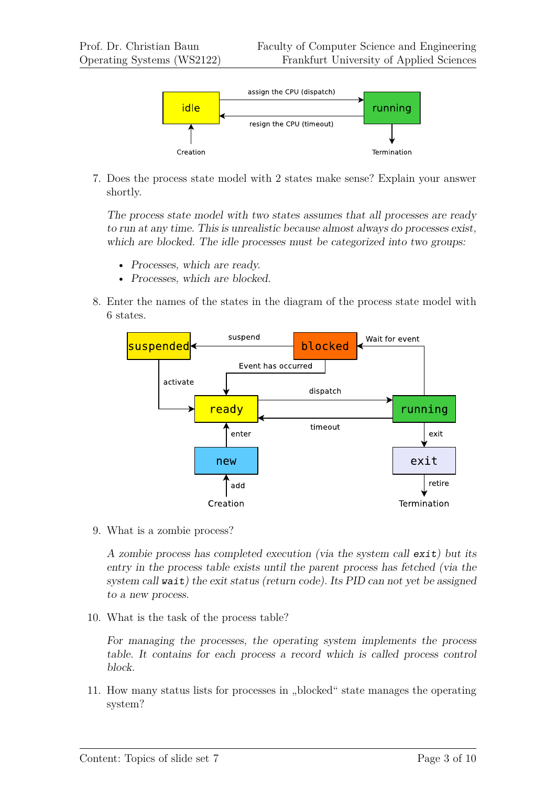

7. Does the process state model with 2 states make sense? Explain your answer shortly.

The process state model with two states assumes that all processes are ready to run at any time. This is unrealistic because almost always do processes exist, which are blocked. The idle processes must be categorized into two groups:

- Processes, which are ready.
- Processes, which are blocked.
- 8. Enter the names of the states in the diagram of the process state model with 6 states.



9. What is a zombie process?

A zombie process has completed execution (via the system call exit) but its entry in the process table exists until the parent process has fetched (via the system call wait) the exit status (return code). Its PID can not yet be assigned to a new process.

10. What is the task of the process table?

For managing the processes, the operating system implements the process table. It contains for each process a record which is called process control block.

11. How many status lists for processes in "blocked" state manages the operating system?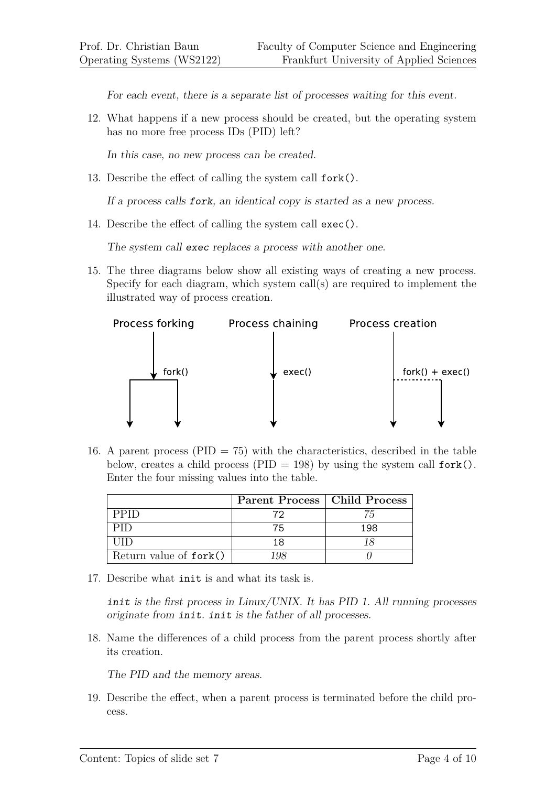For each event, there is a separate list of processes waiting for this event.

12. What happens if a new process should be created, but the operating system has no more free process IDs (PID) left?

In this case, no new process can be created.

13. Describe the effect of calling the system call fork().

If a process calls fork, an identical copy is started as a new process.

14. Describe the effect of calling the system call exec().

The system call exec replaces a process with another one.

15. The three diagrams below show all existing ways of creating a new process. Specify for each diagram, which system call(s) are required to implement the illustrated way of process creation.



16. A parent process (PID  $= 75$ ) with the characteristics, described in the table below, creates a child process (PID = 198) by using the system call  $fork()$ . Enter the four missing values into the table.

|                        | Parent Process   Child Process |     |
|------------------------|--------------------------------|-----|
| PPID.                  | 79                             | 75  |
| PID                    | 75                             | 198 |
| HID                    | 18                             |     |
| Return value of fork() | 198                            |     |

17. Describe what init is and what its task is.

init is the first process in Linux/UNIX. It has PID 1. All running processes originate from init. init is the father of all processes.

18. Name the differences of a child process from the parent process shortly after its creation.

The PID and the memory areas.

19. Describe the effect, when a parent process is terminated before the child process.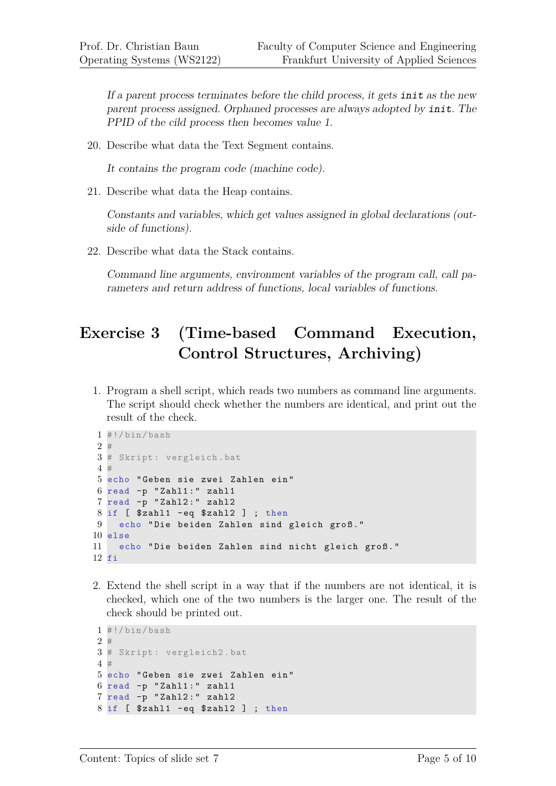If a parent process terminates before the child process, it gets init as the new parent process assigned. Orphaned processes are always adopted by init. The PPID of the cild process then becomes value 1.

20. Describe what data the Text Segment contains.

It contains the program code (machine code).

21. Describe what data the Heap contains.

Constants and variables, which get values assigned in global declarations (outside of functions).

22. Describe what data the Stack contains.

Command line arguments, environment variables of the program call, call parameters and return address of functions, local variables of functions.

# **Exercise 3 (Time-based Command Execution, Control Structures, Archiving)**

1. Program a shell script, which reads two numbers as command line arguments. The script should check whether the numbers are identical, and print out the result of the check.

```
1 #!/bin/bash
2 #
3 # Skript : vergleich .bat
4 #
5 echo " Geben sie zwei Zahlen ein "
6 read -p "Zahl1:" zahl1
7 read -p " Zahl2 : " zahl2
8 if [ $zahl1 -eq $zahl2 ]; then
9 echo "Die beiden Zahlen sind gleich groß."
10 else
11 echo "Die beiden Zahlen sind nicht gleich groß."
12 fi
```
2. Extend the shell script in a way that if the numbers are not identical, it is checked, which one of the two numbers is the larger one. The result of the check should be printed out.

```
1 #!/bin/bash
2 #
3 # Skript : vergleich2 .bat
4 #
5 echo " Geben sie zwei Zahlen ein "
6 read -p "Zahl1:" zahl1
7 read -p " Zahl2 : " zahl2
8 if [ $zahl1 - eq $zahl2 ] ; then
```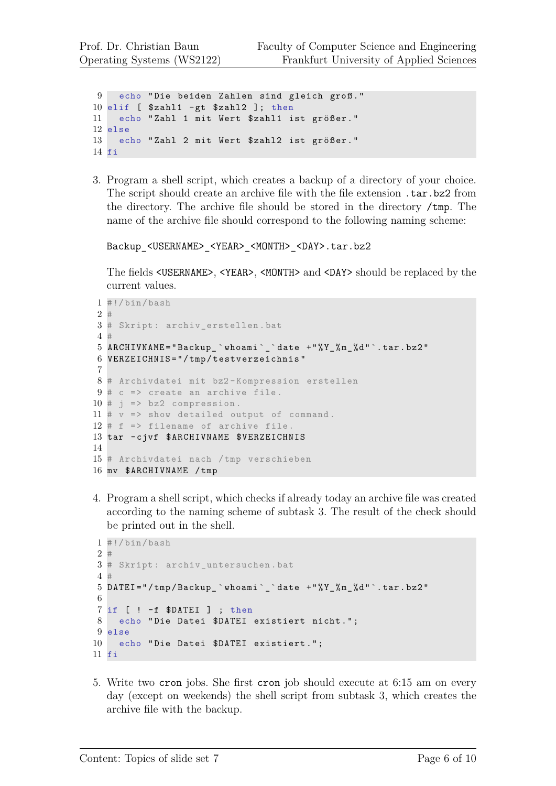```
9 echo "Die beiden Zahlen sind gleich groß."
10 elif [ $zahl1 -gt $zahl2 ]; then
11 echo "Zahl 1 mit Wert $zahl1 ist größer."
12 else
13 echo "Zahl 2 mit Wert $zahl2 ist größer."
14 fi
```
3. Program a shell script, which creates a backup of a directory of your choice. The script should create an archive file with the file extension .tar.bz2 from the directory. The archive file should be stored in the directory /tmp. The name of the archive file should correspond to the following naming scheme:

```
Backup_<USERNAME>_<YEAR>_<MONTH>_<DAY>.tar.bz2
```
The fields  $\langle$ USERNAME>,  $\langle$ YEAR>,  $\langle$ MONTH> and  $\langle$ DAY> should be replaced by the current values.

```
1 #!/bin/bash
2 #
3 # Skript : archiv_erstellen . bat
4 #
5 ARCHIVNAME = " Backup_ ` whoami `_` date + " % Y_ % m_ % d " `. tar . bz2 "
6 VERZEICHNIS = " / tmp / testverzeichnis "
7
8 # Archivdatei mit bz2 - Kompression erstellen
9 # c => create an archive file.
10 # j => bz2 compression.
11 # v => show detailed output of command.
12 # f => filename of archive file.
13 tar - cjvf $ARCHIVNAME $VERZEICHNIS
14
15 # Archivdatei nach /tmp verschieben
16 mv $ARCHIVNAME / tmp
```
4. Program a shell script, which checks if already today an archive file was created according to the naming scheme of subtask 3. The result of the check should be printed out in the shell.

```
1 #!/bin/bash
2 #
3 # Skript : archiv_untersuchen . bat
4 #
5 DATEI = "/tmp/Backup `whoami` `date + "% Y % m % d " `. tar . bz2 "
6
7 if [ ! -f $DATEI ] ; then
8 echo "Die Datei $DATEI existiert nicht.";
9 else
10 echo "Die Datei $DATEI existiert.";
11 fi
```
5. Write two cron jobs. She first cron job should execute at 6:15 am on every day (except on weekends) the shell script from subtask 3, which creates the archive file with the backup.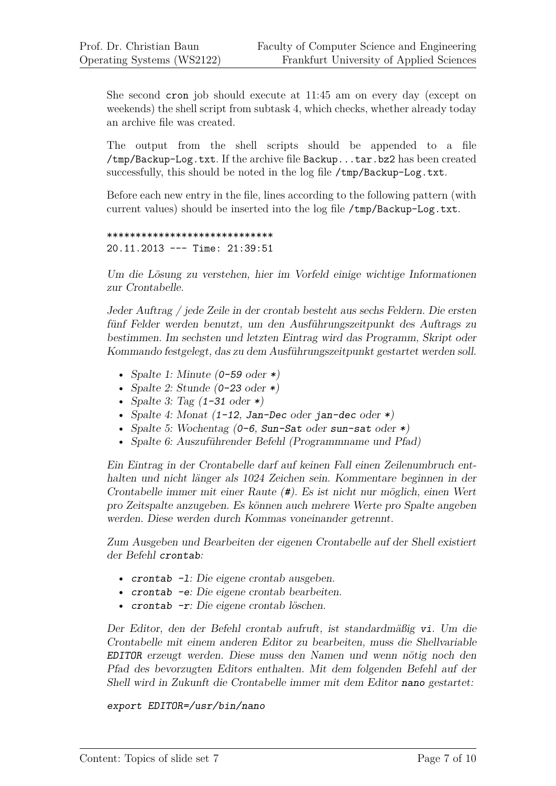She second cron job should execute at 11:45 am on every day (except on weekends) the shell script from subtask 4, which checks, whether already today an archive file was created.

The output from the shell scripts should be appended to a file /tmp/Backup-Log.txt. If the archive file Backup...tar.bz2 has been created successfully, this should be noted in the log file /tmp/Backup-Log.txt.

Before each new entry in the file, lines according to the following pattern (with current values) should be inserted into the log file /tmp/Backup-Log.txt.

```
*****************************
20.11.2013 --- Time: 21:39:51
```
Um die Lösung zu verstehen, hier im Vorfeld einige wichtige Informationen zur Crontabelle.

Jeder Auftrag / jede Zeile in der crontab besteht aus sechs Feldern. Die ersten fünf Felder werden benutzt, um den Ausführungszeitpunkt des Auftrags zu bestimmen. Im sechsten und letzten Eintrag wird das Programm, Skript oder Kommando festgelegt, das zu dem Ausführungszeitpunkt gestartet werden soll.

- Spalte 1: Minute  $(0-59 \text{ oder }*)$
- Spalte 2: Stunde  $(0-23 \text{ oder } *)$
- Spalte 3: Tag  $(1-31 \text{ oder }*)$
- Spalte 4: Monat  $(1-12, Jan-Dec$  oder jan-dec oder  $*)$
- Spalte 5: Wochentag (0-6, Sun-Sat oder sun-sat oder \*)
- Spalte 6: Auszuführender Befehl (Programmname und Pfad)

Ein Eintrag in der Crontabelle darf auf keinen Fall einen Zeilenumbruch enthalten und nicht länger als 1024 Zeichen sein. Kommentare beginnen in der Crontabelle immer mit einer Raute (#). Es ist nicht nur möglich, einen Wert pro Zeitspalte anzugeben. Es können auch mehrere Werte pro Spalte angeben werden. Diese werden durch Kommas voneinander getrennt.

Zum Ausgeben und Bearbeiten der eigenen Crontabelle auf der Shell existiert der Befehl crontab:

- crontab -1: Die eigene crontab ausgeben.
- crontab -e: Die eigene crontab bearbeiten.
- crontab -r: Die eigene crontab löschen.

Der Editor, den der Befehl crontab aufruft, ist standardmäßig vi. Um die Crontabelle mit einem anderen Editor zu bearbeiten, muss die Shellvariable EDITOR erzeugt werden. Diese muss den Namen und wenn nötig noch den Pfad des bevorzugten Editors enthalten. Mit dem folgenden Befehl auf der Shell wird in Zukunft die Crontabelle immer mit dem Editor nano gestartet:

#### export EDITOR=/usr/bin/nano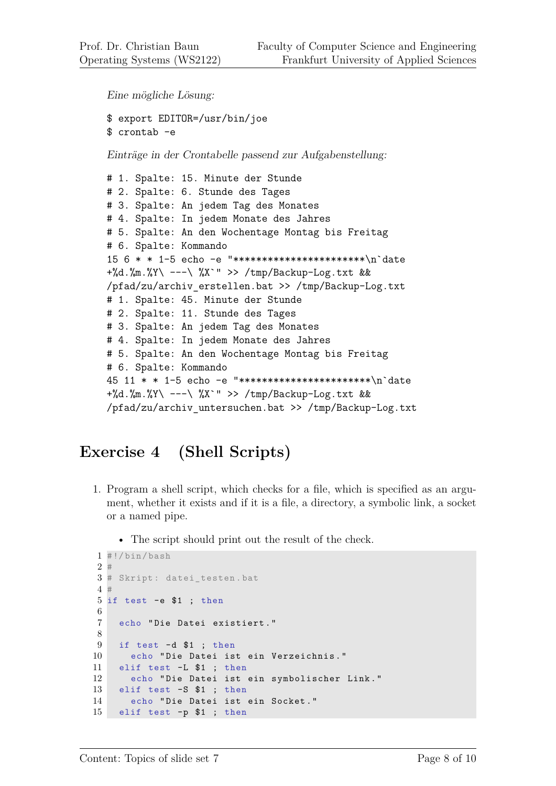Eine mögliche Lösung:

```
$ export EDITOR=/usr/bin/joe
$ crontab -e
```
Einträge in der Crontabelle passend zur Aufgabenstellung:

```
# 1. Spalte: 15. Minute der Stunde
# 2. Spalte: 6. Stunde des Tages
# 3. Spalte: An jedem Tag des Monates
# 4. Spalte: In jedem Monate des Jahres
# 5. Spalte: An den Wochentage Montag bis Freitag
# 6. Spalte: Kommando
15 6 * * 1-5 echo -e "***********************\n`date
+%d.%m.%Y\ ---\ %X`" >> /tmp/Backup-Log.txt &&
/pfad/zu/archiv_erstellen.bat >> /tmp/Backup-Log.txt
# 1. Spalte: 45. Minute der Stunde
# 2. Spalte: 11. Stunde des Tages
# 3. Spalte: An jedem Tag des Monates
# 4. Spalte: In jedem Monate des Jahres
# 5. Spalte: An den Wochentage Montag bis Freitag
# 6. Spalte: Kommando
45 11 * * 1-5 echo -e "***********************\n`date
+%d.%m.%Y\ ---\ %X`" >> /tmp/Backup-Log.txt &&
/pfad/zu/archiv_untersuchen.bat >> /tmp/Backup-Log.txt
```
## **Exercise 4 (Shell Scripts)**

- 1. Program a shell script, which checks for a file, which is specified as an argument, whether it exists and if it is a file, a directory, a symbolic link, a socket or a named pipe.
	- The script should print out the result of the check.

```
1 #!/bin/bash
2 #
3 # Skript : datei_testen .bat
4 #
5 if test -e $1 ; then
6
7 echo " Die Datei existiert . "
8
9 if test -d $1 ; then
10 echo " Die Datei ist ein Verzeichnis . "
11 elif test -L $1 ; then
12 echo " Die Datei ist ein symbolischer Link . "
13 elif test -S $1 ; then
14 echo " Die Datei ist ein Socket . "
15 elif test -p $1 ; then
```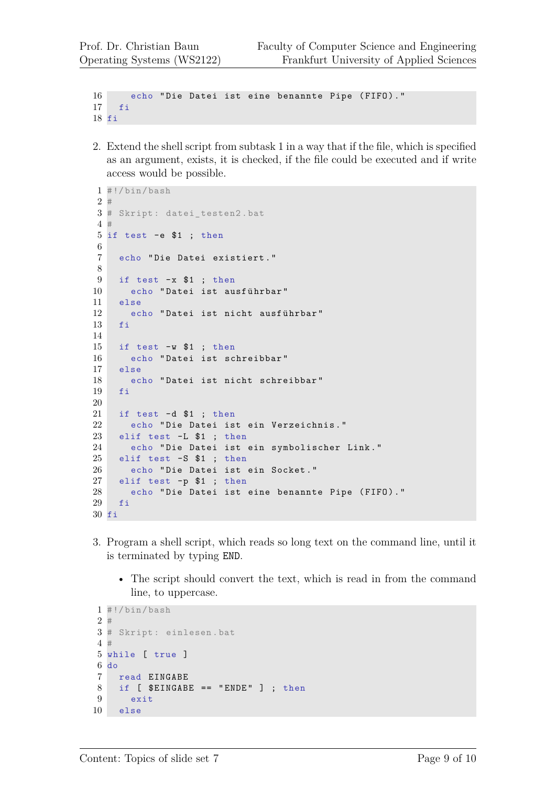```
16 echo "Die Datei ist eine benannte Pipe (FIFO)."
17 fi
18 fi
```
2. Extend the shell script from subtask 1 in a way that if the file, which is specified as an argument, exists, it is checked, if the file could be executed and if write access would be possible.

```
1 #!/ bin/ bash
2 #
3 # Skript : datei_testen2 .bat
4 #
5 if test -e $1 ; then
6
7 echo " Die Datei existiert . "
8
9 if test -x $1 ; then
10 echo "Datei ist ausführbar"
11 else
12 echo "Datei ist nicht ausführbar"
13 fi
14
15 if test -w $1 ; then
16 echo " Datei ist schreibbar "
17 else
18 echo " Datei ist nicht schreibbar "
19 fi
20
21 if test -d $1 ; then
22 echo " Die Datei ist ein Verzeichnis . "
23 elif test -L $1 ; then
24 echo " Die Datei ist ein symbolischer Link . "
25 elif test -S $1 ; then
26 echo " Die Datei ist ein Socket . "
27 elif test -p $1 ; then
28 echo "Die Datei ist eine benannte Pipe (FIFO)."
29 fi
30 fi
```
- 3. Program a shell script, which reads so long text on the command line, until it is terminated by typing END.
	- The script should convert the text, which is read in from the command line, to uppercase.

```
1 #!/bin/bash
2 #
3 # Skript : einlesen .bat
4 #
5 while [ true ]
6 do
7 read EINGABE
8 if [ $EINGABE == "ENDE" ] ; then
9 exit
10 else
```